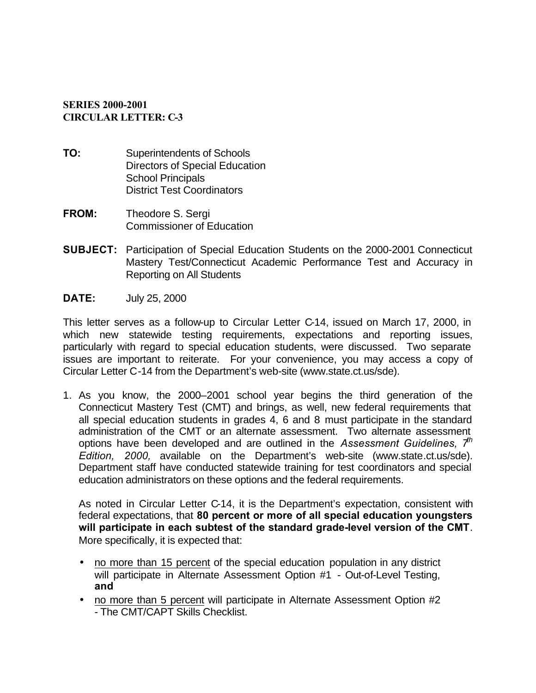## **SERIES 2000-2001 CIRCULAR LETTER: C-3**

- **TO:** Superintendents of Schools Directors of Special Education School Principals District Test Coordinators
- **FROM:** Theodore S. Sergi Commissioner of Education
- **SUBJECT:** Participation of Special Education Students on the 2000-2001 Connecticut Mastery Test/Connecticut Academic Performance Test and Accuracy in Reporting on All Students
- **DATE:** July 25, 2000

This letter serves as a follow-up to Circular Letter C-14, issued on March 17, 2000, in which new statewide testing requirements, expectations and reporting issues, particularly with regard to special education students, were discussed. Two separate issues are important to reiterate. For your convenience, you may access a copy of Circular Letter C-14 from the Department's web-site (www.state.ct.us/sde).

1. As you know, the 2000–2001 school year begins the third generation of the Connecticut Mastery Test (CMT) and brings, as well, new federal requirements that all special education students in grades 4, 6 and 8 must participate in the standard administration of the CMT or an alternate assessment. Two alternate assessment options have been developed and are outlined in the *Assessment Guidelines, 7th Edition, 2000,* available on the Department's web-site (www.state.ct.us/sde). Department staff have conducted statewide training for test coordinators and special education administrators on these options and the federal requirements.

As noted in Circular Letter C-14, it is the Department's expectation, consistent with federal expectations, that **80 percent or more of all special education youngsters will participate in each subtest of the standard grade-level version of the CMT**. More specifically, it is expected that:

- no more than 15 percent of the special education population in any district will participate in Alternate Assessment Option #1 - Out-of-Level Testing, **and**
- no more than 5 percent will participate in Alternate Assessment Option #2 - The CMT/CAPT Skills Checklist.